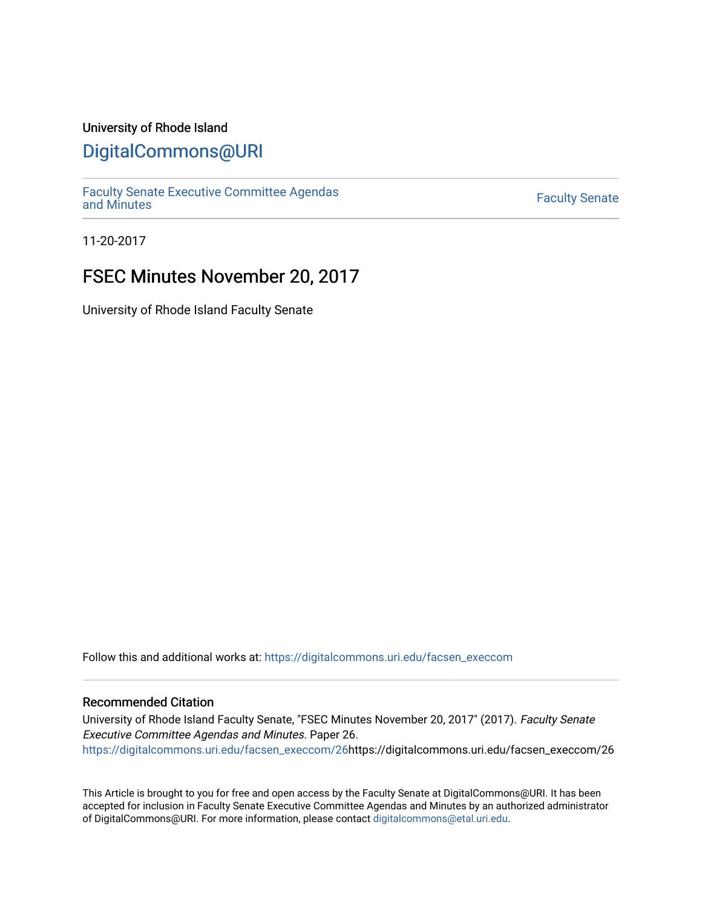### University of Rhode Island

## [DigitalCommons@URI](https://digitalcommons.uri.edu/)

[Faculty Senate Executive Committee Agendas](https://digitalcommons.uri.edu/facsen_execcom)  [and Minutes](https://digitalcommons.uri.edu/facsen_execcom) [Faculty Senate](https://digitalcommons.uri.edu/facsen) 

11-20-2017

## FSEC Minutes November 20, 2017

University of Rhode Island Faculty Senate

Follow this and additional works at: [https://digitalcommons.uri.edu/facsen\\_execcom](https://digitalcommons.uri.edu/facsen_execcom?utm_source=digitalcommons.uri.edu%2Ffacsen_execcom%2F26&utm_medium=PDF&utm_campaign=PDFCoverPages) 

#### Recommended Citation

University of Rhode Island Faculty Senate, "FSEC Minutes November 20, 2017" (2017). Faculty Senate Executive Committee Agendas and Minutes. Paper 26. [https://digitalcommons.uri.edu/facsen\\_execcom/26h](https://digitalcommons.uri.edu/facsen_execcom/26?utm_source=digitalcommons.uri.edu%2Ffacsen_execcom%2F26&utm_medium=PDF&utm_campaign=PDFCoverPages)ttps://digitalcommons.uri.edu/facsen\_execcom/26

This Article is brought to you for free and open access by the Faculty Senate at DigitalCommons@URI. It has been accepted for inclusion in Faculty Senate Executive Committee Agendas and Minutes by an authorized administrator of DigitalCommons@URI. For more information, please contact [digitalcommons@etal.uri.edu](mailto:digitalcommons@etal.uri.edu).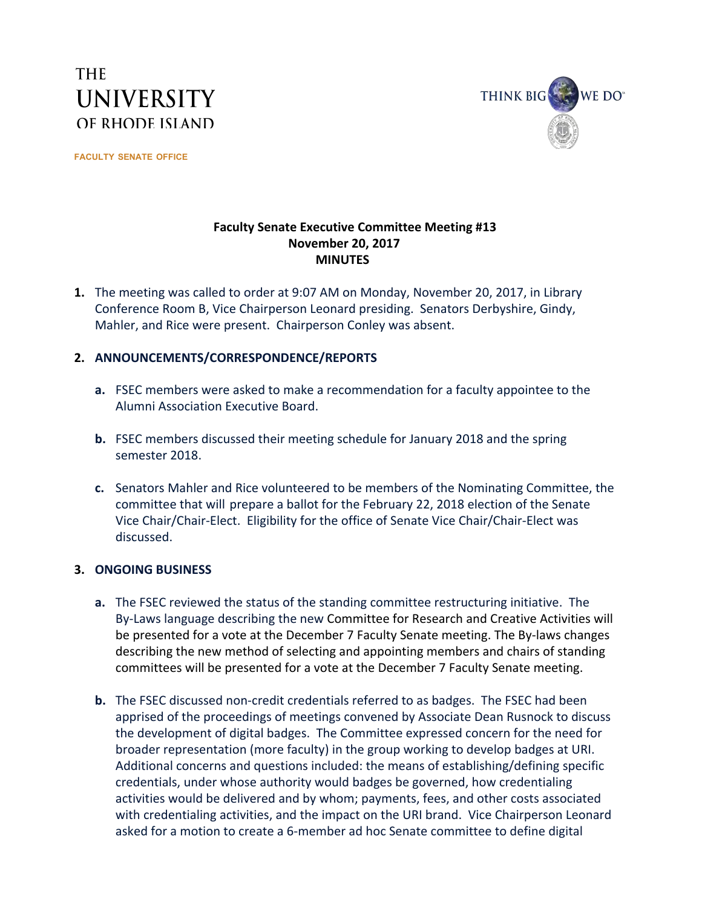# **THE UNIVERSITY** OF RHODE ISLAND

**FACULTY SENATE OFFICE**



### **Faculty Senate Executive Committee Meeting #13 November 20, 2017 MINUTES**

**1.** The meeting was called to order at 9:07 AM on Monday, November 20, 2017, in Library Conference Room B, Vice Chairperson Leonard presiding. Senators Derbyshire, Gindy, Mahler, and Rice were present. Chairperson Conley was absent.

### **2. ANNOUNCEMENTS/CORRESPONDENCE/REPORTS**

- **a.** FSEC members were asked to make a recommendation for a faculty appointee to the Alumni Association Executive Board.
- **b.** FSEC members discussed their meeting schedule for January 2018 and the spring semester 2018.
- **c.** Senators Mahler and Rice volunteered to be members of the Nominating Committee, the committee that will prepare a ballot for the February 22, 2018 election of the Senate Vice Chair/Chair-Elect. Eligibility for the office of Senate Vice Chair/Chair-Elect was discussed.

### **3. ONGOING BUSINESS**

- **a.** The FSEC reviewed the status of the standing committee restructuring initiative. The By-Laws language describing the new Committee for Research and Creative Activities will be presented for a vote at the December 7 Faculty Senate meeting. The By-laws changes describing the new method of selecting and appointing members and chairs of standing committees will be presented for a vote at the December 7 Faculty Senate meeting.
- **b.** The FSEC discussed non-credit credentials referred to as badges. The FSEC had been apprised of the proceedings of meetings convened by Associate Dean Rusnock to discuss the development of digital badges. The Committee expressed concern for the need for broader representation (more faculty) in the group working to develop badges at URI. Additional concerns and questions included: the means of establishing/defining specific credentials, under whose authority would badges be governed, how credentialing activities would be delivered and by whom; payments, fees, and other costs associated with credentialing activities, and the impact on the URI brand. Vice Chairperson Leonard asked for a motion to create a 6-member ad hoc Senate committee to define digital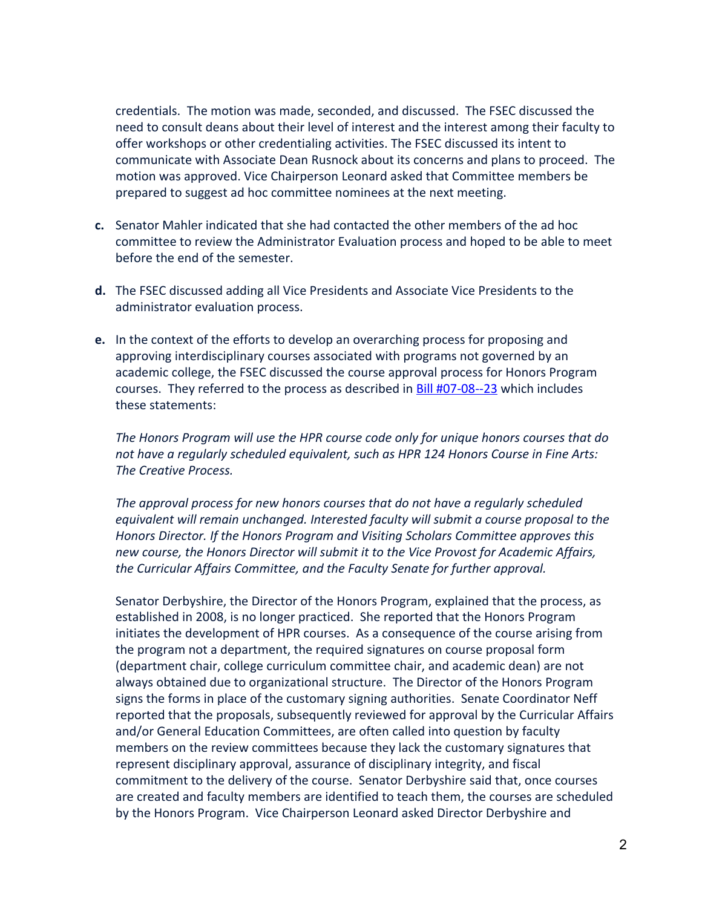credentials. The motion was made, seconded, and discussed. The FSEC discussed the need to consult deans about their level of interest and the interest among their faculty to offer workshops or other credentialing activities. The FSEC discussed its intent to communicate with Associate Dean Rusnock about its concerns and plans to proceed. The motion was approved. Vice Chairperson Leonard asked that Committee members be prepared to suggest ad hoc committee nominees at the next meeting.

- **c.** Senator Mahler indicated that she had contacted the other members of the ad hoc committee to review the Administrator Evaluation process and hoped to be able to meet before the end of the semester.
- **d.** The FSEC discussed adding all Vice Presidents and Associate Vice Presidents to the administrator evaluation process.
- **e.** In the context of the efforts to develop an overarching process for proposing and approving interdisciplinary courses associated with programs not governed by an academic college, the FSEC discussed the course approval process for Honors Program courses. They referred to the process as described in **[Bill #07-08--23](http://digitalcommons.uri.edu/cgi/viewcontent.cgi?article=2861&context=facsen_bills)** which includes these statements:

*The Honors Program will use the HPR course code only for unique honors courses that do not have a regularly scheduled equivalent, such as HPR 124 Honors Course in Fine Arts: The Creative Process.*

*The approval process for new honors courses that do not have a regularly scheduled equivalent will remain unchanged. Interested faculty will submit a course proposal to the Honors Director. If the Honors Program and Visiting Scholars Committee approves this new course, the Honors Director will submit it to the Vice Provost for Academic Affairs, the Curricular Affairs Committee, and the Faculty Senate for further approval.*

Senator Derbyshire, the Director of the Honors Program, explained that the process, as established in 2008, is no longer practiced. She reported that the Honors Program initiates the development of HPR courses. As a consequence of the course arising from the program not a department, the required signatures on course proposal form (department chair, college curriculum committee chair, and academic dean) are not always obtained due to organizational structure. The Director of the Honors Program signs the forms in place of the customary signing authorities. Senate Coordinator Neff reported that the proposals, subsequently reviewed for approval by the Curricular Affairs and/or General Education Committees, are often called into question by faculty members on the review committees because they lack the customary signatures that represent disciplinary approval, assurance of disciplinary integrity, and fiscal commitment to the delivery of the course. Senator Derbyshire said that, once courses are created and faculty members are identified to teach them, the courses are scheduled by the Honors Program. Vice Chairperson Leonard asked Director Derbyshire and